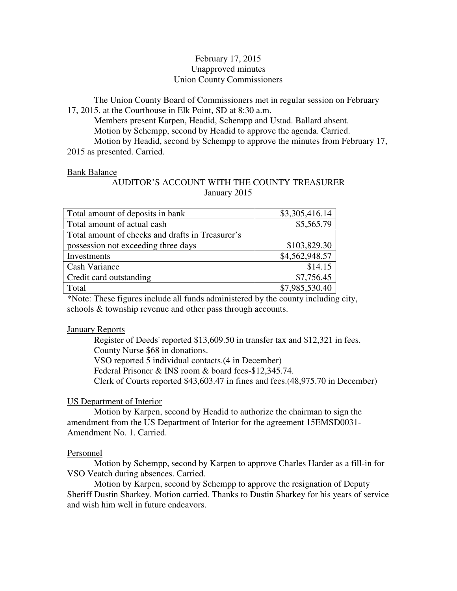# February 17, 2015 Unapproved minutes Union County Commissioners

The Union County Board of Commissioners met in regular session on February 17, 2015, at the Courthouse in Elk Point, SD at 8:30 a.m.

 Members present Karpen, Headid, Schempp and Ustad. Ballard absent. Motion by Schempp, second by Headid to approve the agenda. Carried. Motion by Headid, second by Schempp to approve the minutes from February 17, 2015 as presented. Carried.

#### Bank Balance

# AUDITOR'S ACCOUNT WITH THE COUNTY TREASURER January 2015

| Total amount of deposits in bank                 | \$3,305,416.14 |
|--------------------------------------------------|----------------|
| Total amount of actual cash                      | \$5,565.79     |
| Total amount of checks and drafts in Treasurer's |                |
| possession not exceeding three days              | \$103,829.30   |
| Investments                                      | \$4,562,948.57 |
| Cash Variance                                    | \$14.15        |
| Credit card outstanding                          | \$7,756.45     |
| Total                                            | \$7,985,530.40 |

\*Note: These figures include all funds administered by the county including city, schools & township revenue and other pass through accounts.

#### **January Reports**

 Register of Deeds' reported \$13,609.50 in transfer tax and \$12,321 in fees. County Nurse \$68 in donations. VSO reported 5 individual contacts.(4 in December) Federal Prisoner & INS room & board fees-\$12,345.74. Clerk of Courts reported \$43,603.47 in fines and fees.(48,975.70 in December)

#### US Department of Interior

 Motion by Karpen, second by Headid to authorize the chairman to sign the amendment from the US Department of Interior for the agreement 15EMSD0031- Amendment No. 1. Carried.

#### Personnel

 Motion by Schempp, second by Karpen to approve Charles Harder as a fill-in for VSO Veatch during absences. Carried.

 Motion by Karpen, second by Schempp to approve the resignation of Deputy Sheriff Dustin Sharkey. Motion carried. Thanks to Dustin Sharkey for his years of service and wish him well in future endeavors.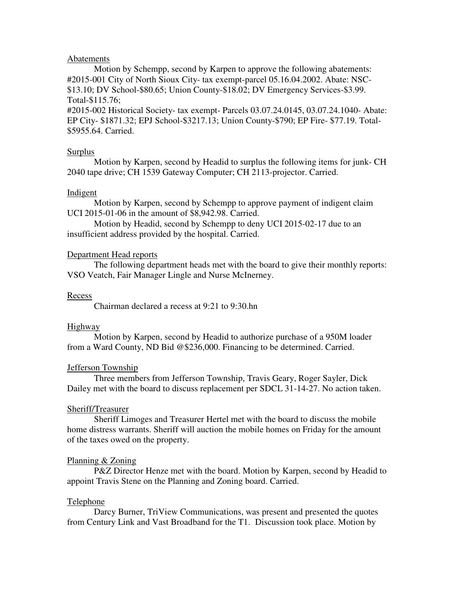#### Abatements

 Motion by Schempp, second by Karpen to approve the following abatements: #2015-001 City of North Sioux City- tax exempt-parcel 05.16.04.2002. Abate: NSC- \$13.10; DV School-\$80.65; Union County-\$18.02; DV Emergency Services-\$3.99. Total-\$115.76;

#2015-002 Historical Society- tax exempt- Parcels 03.07.24.0145, 03.07.24.1040- Abate: EP City- \$1871.32; EPJ School-\$3217.13; Union County-\$790; EP Fire- \$77.19. Total- \$5955.64. Carried.

#### Surplus

 Motion by Karpen, second by Headid to surplus the following items for junk- CH 2040 tape drive; CH 1539 Gateway Computer; CH 2113-projector. Carried.

#### **Indigent**

 Motion by Karpen, second by Schempp to approve payment of indigent claim UCI 2015-01-06 in the amount of \$8,942.98. Carried.

 Motion by Headid, second by Schempp to deny UCI 2015-02-17 due to an insufficient address provided by the hospital. Carried.

# Department Head reports

 The following department heads met with the board to give their monthly reports: VSO Veatch, Fair Manager Lingle and Nurse McInerney.

#### Recess

Chairman declared a recess at 9:21 to 9:30.hn

# Highway

 Motion by Karpen, second by Headid to authorize purchase of a 950M loader from a Ward County, ND Bid @\$236,000. Financing to be determined. Carried.

# Jefferson Township

 Three members from Jefferson Township, Travis Geary, Roger Sayler, Dick Dailey met with the board to discuss replacement per SDCL 31-14-27. No action taken.

# Sheriff/Treasurer

 Sheriff Limoges and Treasurer Hertel met with the board to discuss the mobile home distress warrants. Sheriff will auction the mobile homes on Friday for the amount of the taxes owed on the property.

# Planning & Zoning

 P&Z Director Henze met with the board. Motion by Karpen, second by Headid to appoint Travis Stene on the Planning and Zoning board. Carried.

# Telephone

 Darcy Burner, TriView Communications, was present and presented the quotes from Century Link and Vast Broadband for the T1. Discussion took place. Motion by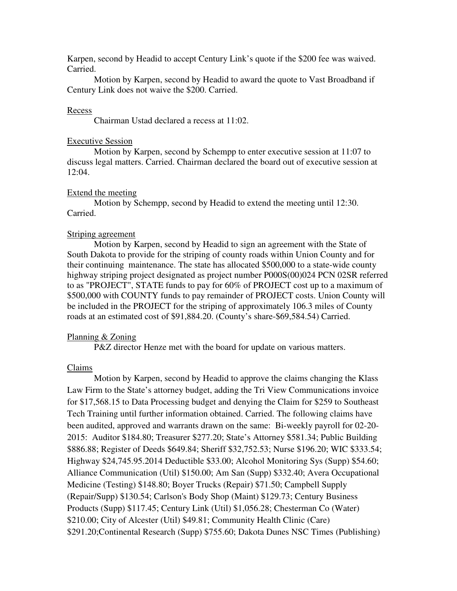Karpen, second by Headid to accept Century Link's quote if the \$200 fee was waived. Carried.

 Motion by Karpen, second by Headid to award the quote to Vast Broadband if Century Link does not waive the \$200. Carried.

#### Recess

Chairman Ustad declared a recess at 11:02.

#### Executive Session

 Motion by Karpen, second by Schempp to enter executive session at 11:07 to discuss legal matters. Carried. Chairman declared the board out of executive session at 12:04.

# Extend the meeting

 Motion by Schempp, second by Headid to extend the meeting until 12:30. Carried.

# Striping agreement

 Motion by Karpen, second by Headid to sign an agreement with the State of South Dakota to provide for the striping of county roads within Union County and for their continuing maintenance. The state has allocated \$500,000 to a state-wide county highway striping project designated as project number P000S(00)024 PCN 02SR referred to as "PROJECT", STATE funds to pay for 60% of PROJECT cost up to a maximum of \$500,000 with COUNTY funds to pay remainder of PROJECT costs. Union County will be included in the PROJECT for the striping of approximately 106.3 miles of County roads at an estimated cost of \$91,884.20. (County's share-\$69,584.54) Carried.

# Planning & Zoning

P&Z director Henze met with the board for update on various matters.

# Claims

 Motion by Karpen, second by Headid to approve the claims changing the Klass Law Firm to the State's attorney budget, adding the Tri View Communications invoice for \$17,568.15 to Data Processing budget and denying the Claim for \$259 to Southeast Tech Training until further information obtained. Carried. The following claims have been audited, approved and warrants drawn on the same: Bi-weekly payroll for 02-20- 2015: Auditor \$184.80; Treasurer \$277.20; State's Attorney \$581.34; Public Building \$886.88; Register of Deeds \$649.84; Sheriff \$32,752.53; Nurse \$196.20; WIC \$333.54; Highway \$24,745.95.2014 Deductible \$33.00; Alcohol Monitoring Sys (Supp) \$54.60; Alliance Communication (Util) \$150.00; Am San (Supp) \$332.40; Avera Occupational Medicine (Testing) \$148.80; Boyer Trucks (Repair) \$71.50; Campbell Supply (Repair/Supp) \$130.54; Carlson's Body Shop (Maint) \$129.73; Century Business Products (Supp) \$117.45; Century Link (Util) \$1,056.28; Chesterman Co (Water) \$210.00; City of Alcester (Util) \$49.81; Community Health Clinic (Care) \$291.20;Continental Research (Supp) \$755.60; Dakota Dunes NSC Times (Publishing)